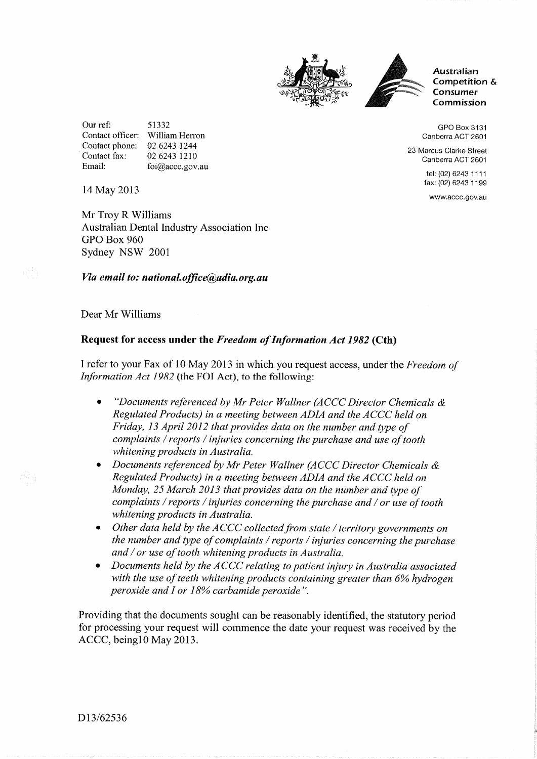



Australian Competition & **Consumer** Commission

GPO Box 3131 Canberra ACT 2601

23 Marcus Clarke Street Canberra ACT 2601

> tel: (02) 6243 1111 fax: (02) 6243 1 199

www.accc.gov.au

Our ref: 51332 Contact officer: William Herron Contact phone: 02 6243 1244<br>Contact fax: 02 6243 1210 02 6243 1210 Email: foi@accc.gov.au

14 May 2013

Mr Troy R Williams Australian Dental Industry Association Inc GPO Box 960 Sydney NSW <sup>2001</sup>

## Via email to: national.office@adia.org.au

Dear Mr Williams

## Request for access under the Freedom of Information Act 1982 (Cth)

I refer to your Fax of 10 May 2013 in which you request access, under the Freedom of Information Act 1982 (the FOI Act), to the following:

- "Documents referenced by Mr Peter Wallner (ACCC Director Chemicals  $\&$ Regulated Products) in a meeting between ADIA and the ACCC held on Friday, 13 April 2012 that provides data on the number and type of complaints / reports / injuries concerning the purchase and use of tooth whitening products in Australia,
- Documents referenced by Mr Peter Wallner (ACCC Director Chemicals & Regulated Products) in a meeting between ADIA and the ACCC held on Monday, 25 March 2013 that provides data on the number and type of complaints / reports / injuries concerning the purchase and / or use of tooth whitening products in Australia.
- Other data held by the ACCC collected from state / territory governments on  $\bullet$ the number and type of complaints / reports / injuries concerning the purchase and / or use of tooth whitening products in Australia.
- Documents held by the ACCC relating to patient injury in Australia associated with the use of teeth whitening products containing greater than  $6\%$  hydrogen peroxide and I or 18% carbamide peroxide".

Providing that the documents sought can be reasonably identified, the statutory period for processing your request will commence the date your request was received by the ACCC, beingl0 May 2013.